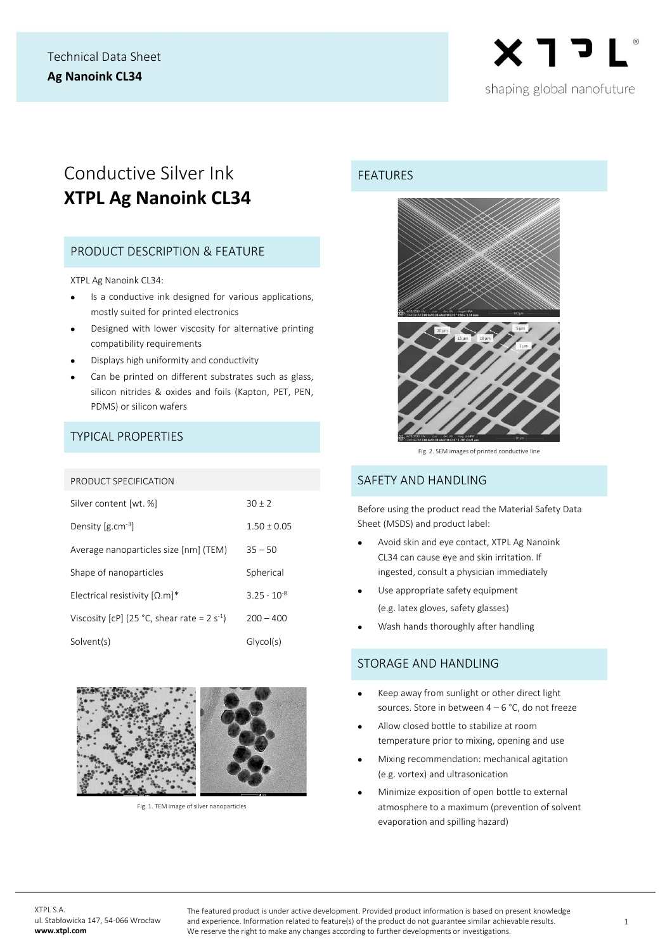

# Conductive Silver Ink **XTPL Ag Nanoink CL34**

# PRODUCT DESCRIPTION & FEATURE

XTPL Ag Nanoink CL34:

- Is a conductive ink designed for various applications, mostly suited for printed electronics
- Designed with lower viscosity for alternative printing compatibility requirements
- Displays high uniformity and conductivity
- Can be printed on different substrates such as glass, silicon nitrides & oxides and foils (Kapton, PET, PEN, PDMS) or silicon wafers

## TYPICAL PROPERTIES

#### PRODUCT SPECIFICATION

| Silver content [wt. %]                           | $30 + 2$             |
|--------------------------------------------------|----------------------|
| Density $[g.cm^{-3}]$                            | $1.50 \pm 0.05$      |
| Average nanoparticles size [nm] (TEM)            | $35 - 50$            |
| Shape of nanoparticles                           | Spherical            |
| Electrical resistivity $[\Omega, m]^*$           | $3.25 \cdot 10^{-8}$ |
| Viscosity [cP] (25 °C, shear rate = $2 s^{-1}$ ) | $200 - 400$          |
| Solvent(s)                                       | Glycol(s)            |



Fig. 1. TEM image of silver nanoparticles

#### FEATURES



Fig. 2. SEM images of printed conductive line

#### SAFFTY AND HANDLING

Before using the product read the Material Safety Data Sheet (MSDS) and product label:

- Avoid skin and eye contact, XTPL Ag Nanoink CL34 can cause eye and skin irritation. If ingested, consult a physician immediately
- Use appropriate safety equipment (e.g. latex gloves, safety glasses)
- Wash hands thoroughly after handling

#### STORAGE AND HANDLING

- Keep away from sunlight or other direct light sources. Store in between  $4 - 6$  °C, do not freeze
- Allow closed bottle to stabilize at room temperature prior to mixing, opening and use
- Mixing recommendation: mechanical agitation (e.g. vortex) and ultrasonication
- Minimize exposition of open bottle to external atmosphere to a maximum (prevention of solvent evaporation and spilling hazard)